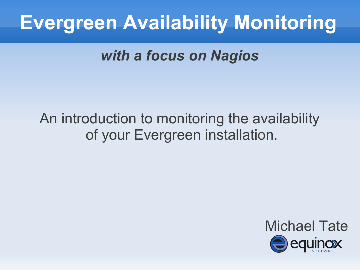*with a focus on Nagios*

#### An introduction to monitoring the availability of your Evergreen installation.

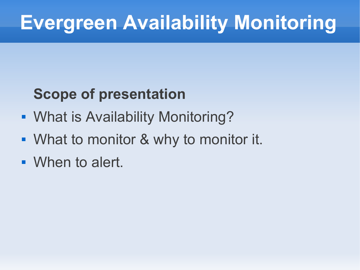#### **Scope of presentation**

- What is Availability Monitoring?
- **What to monitor & why to monitor it.**
- When to alert.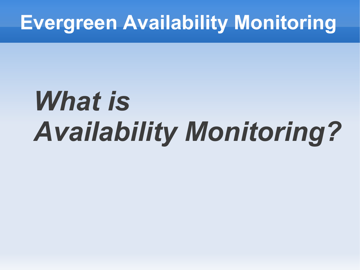# *What is Availability Monitoring?*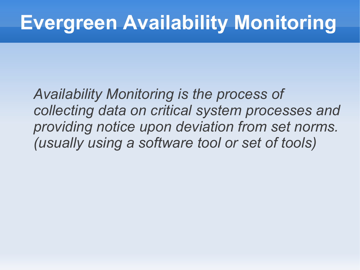*Availability Monitoring is the process of collecting data on critical system processes and providing notice upon deviation from set norms. (usually using a software tool or set of tools)*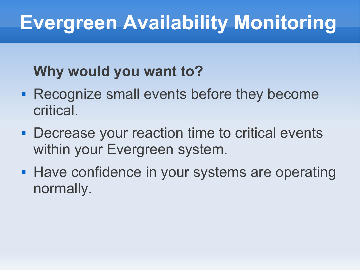#### **Why would you want to?**

- **Recognize small events before they become** critical.
- **Decrease your reaction time to critical events** within your Evergreen system.
- **Have confidence in your systems are operating** normally.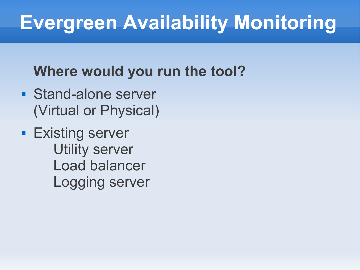#### **Where would you run the tool?**

- **Stand-alone server** (Virtual or Physical)
- **Existing server**  Utility server Load balancer Logging server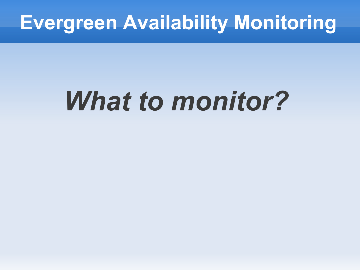# *What to monitor?*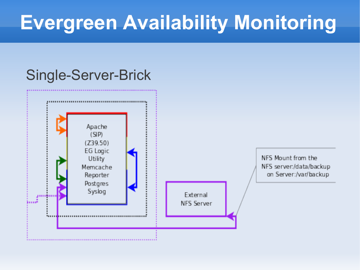#### Single-Server-Brick

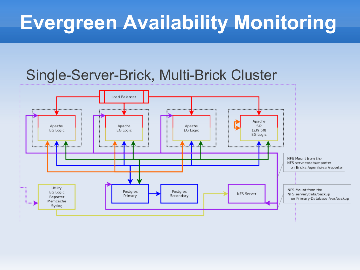#### Single-Server-Brick, Multi-Brick Cluster

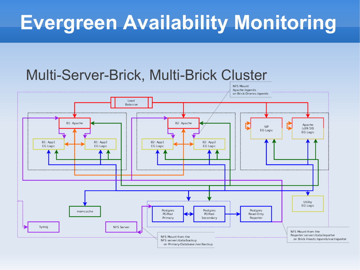#### Multi-Server-Brick, Multi-Brick Cluster

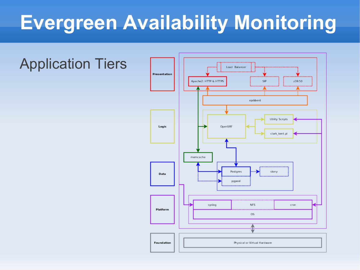#### Application Tiers

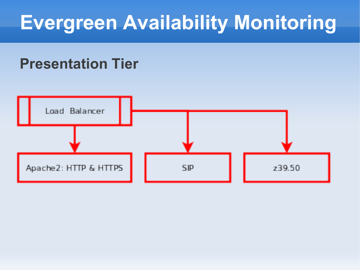#### **Presentation Tier**

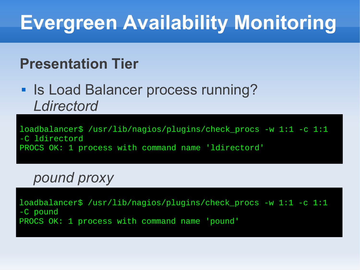#### **Presentation Tier**

**Is Load Balancer process running?** *Ldirectord*

loadbalancer\$ /usr/lib/nagios/plugins/check\_procs -w 1:1 -c 1:1 -C ldirectord PROCS OK: 1 process with command name 'ldirectord'

*pound proxy*

loadbalancer\$ /usr/lib/nagios/plugins/check\_procs -w 1:1 -c 1:1 -C pound PROCS OK: 1 process with command name 'pound'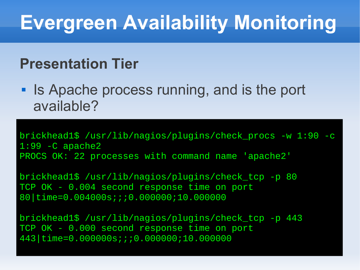#### **Presentation Tier**

**Is Apache process running, and is the port** available?

brickhead1\$ /usr/lib/nagios/plugins/check\_procs -w 1:90 -c 1:99 -C apache2 PROCS OK: 22 processes with command name 'apache2'

brickhead1\$ /usr/lib/nagios/plugins/check\_tcp -p 80 TCP OK - 0.004 second response time on port 80|time=0.004000s;;;0.000000;10.000000

brickhead1\$ /usr/lib/nagios/plugins/check\_tcp -p 443 TCP OK - 0.000 second response time on port 443|time=0.000000s;;;0.000000;10.000000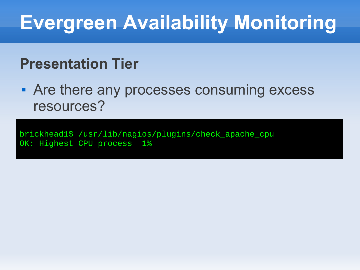#### **Presentation Tier**

**• Are there any processes consuming excess** resources?

brickhead1\$ /usr/lib/nagios/plugins/check\_apache\_cpu OK: Highest CPU process 1%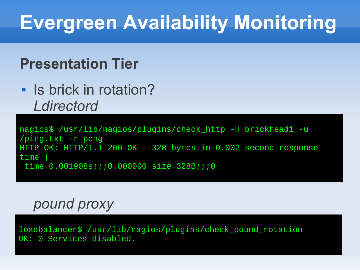#### **Presentation Tier**

**Is brick in rotation?** *Ldirectord*

nagios\$ /usr/lib/nagios/plugins/check\_http -H brickhead1 -u /ping.txt -r pong HTTP OK: HTTP/1.1 200 OK - 328 bytes in 0.002 second response time | time=0.001908s;;;0.000000 size=328B;;;0

#### *pound proxy*

loadbalancer\$ /usr/lib/nagios/plugins/check\_pound\_rotation OK: 0 Services disabled.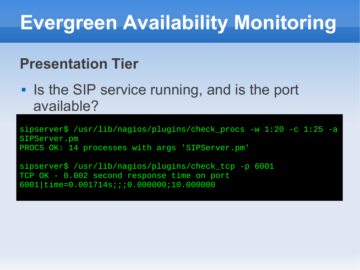#### **Presentation Tier**

**IF Is the SIP service running, and is the port** available?

sipserver\$ /usr/lib/nagios/plugins/check\_procs -w 1:20 -c 1:25 -a SIPServer.pm PROCS OK: 14 processes with args 'SIPServer.pm'

sipserver\$ /usr/lib/nagios/plugins/check\_tcp -p 6001 TCP OK - 0.002 second response time on port 6001|time=0.001714s;;;0.000000;10.000000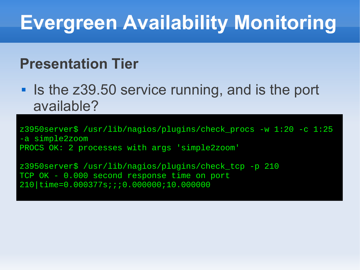#### **Presentation Tier**

**Iom 18 Is the z39.50 service running, and is the port** available?

z3950server\$ /usr/lib/nagios/plugins/check\_procs -w 1:20 -c 1:25 -a simple2zoom PROCS OK: 2 processes with args 'simple2zoom'

z3950server\$ /usr/lib/nagios/plugins/check\_tcp -p 210 TCP OK - 0.000 second response time on port 210|time=0.000377s;;;0.000000;10.000000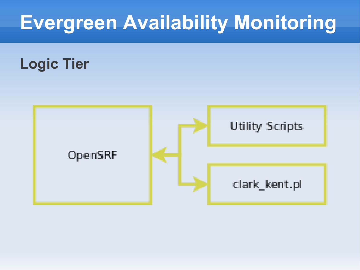#### **Logic Tier**

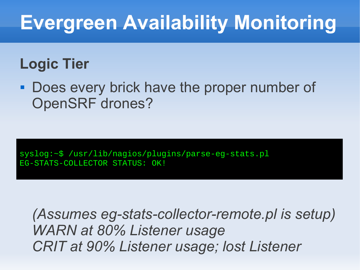#### **Logic Tier**

**- Does every brick have the proper number of** OpenSRF drones?

syslog:~\$ /usr/lib/nagios/plugins/parse-eg-stats.pl EG-STATS-COLLECTOR STATUS: OK!

*(Assumes eg-stats-collector-remote.pl is setup) WARN at 80% Listener usage CRIT at 90% Listener usage; lost Listener*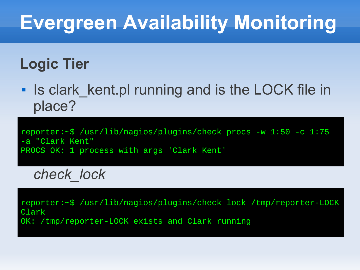#### **Logic Tier**

**Iom Is clark\_kent.pl running and is the LOCK file in** place?

reporter:~\$ /usr/lib/nagios/plugins/check\_procs -w 1:50 -c 1:75 -a "Clark Kent" PROCS OK: 1 process with args 'Clark Kent'

*check\_lock*

reporter:~\$ /usr/lib/nagios/plugins/check\_lock /tmp/reporter-LOCK Clark OK: /tmp/reporter-LOCK exists and Clark running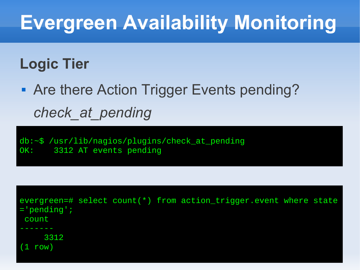#### **Logic Tier**

 Are there Action Trigger Events pending? *check\_at\_pending*

db:~\$ /usr/lib/nagios/plugins/check\_at\_pending OK: 3312 AT events pending

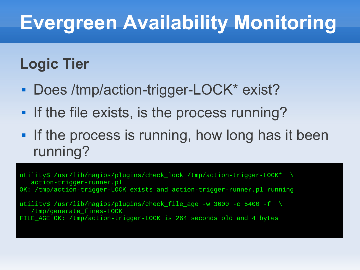#### **Logic Tier**

- **Does /tmp/action-trigger-LOCK\* exist?**
- **If the file exists, is the process running?**
- **If the process is running, how long has it been** running?

utility\$ /usr/lib/nagios/plugins/check\_lock /tmp/action-trigger-LOCK\* \ action-trigger-runner.pl OK: /tmp/action-trigger-LOCK exists and action-trigger-runner.pl running

utility\$ /usr/lib/nagios/plugins/check\_file\_age -w 3600 -c 5400 -f \ /tmp/generate\_fines-LOCK FILE\_AGE OK: /tmp/action-trigger-LOCK is 264 seconds old and 4 bytes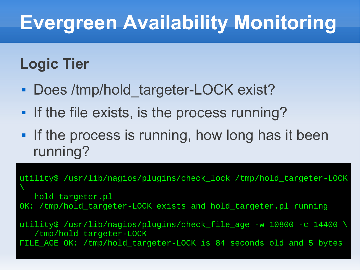#### **Logic Tier**

- Does /tmp/hold\_targeter-LOCK exist?
- **If the file exists, is the process running?**
- **If the process is running, how long has it been** running?

utility\$ /usr/lib/nagios/plugins/check\_lock /tmp/hold\_targeter-LOCK  $\overline{\phantom{0}}$  hold\_targeter.pl OK: /tmp/hold\_targeter-LOCK exists and hold\_targeter.pl running utility\$ /usr/lib/nagios/plugins/check\_file\_age -w 10800 -c 14400 \ /tmp/hold\_targeter-LOCK FILE\_AGE OK: /tmp/hold\_targeter-LOCK is 84 seconds old and 5 bytes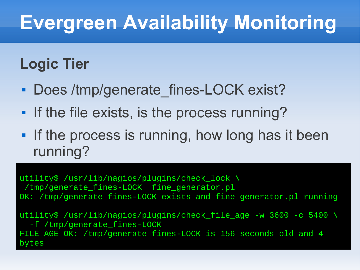#### **Logic Tier**

- Does /tmp/generate\_fines-LOCK exist?
- **If the file exists, is the process running?**
- **If the process is running, how long has it been** running?

utility\$ /usr/lib/nagios/plugins/check\_lock \ /tmp/generate\_fines-LOCK fine\_generator.pl OK: /tmp/generate\_fines-LOCK exists and fine\_generator.pl running utility\$ /usr/lib/nagios/plugins/check\_file\_age -w 3600 -c 5400 \

 -f /tmp/generate\_fines-LOCK FILE\_AGE OK: /tmp/generate\_fines-LOCK is 156 seconds old and 4 bytes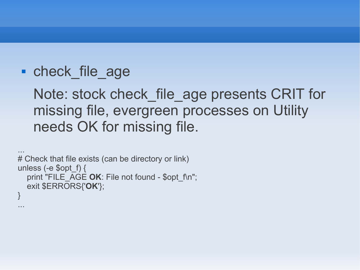#### • check file age

Note: stock check file age presents CRIT for missing file, evergreen processes on Utility needs OK for missing file.

```
...
# Check that file exists (can be directory or link)
unless (-e $opt f) {
  print "FILE_AGE OK: File not found - $opt_f\n";
   exit $ERRORS{'OK'};
}
...
```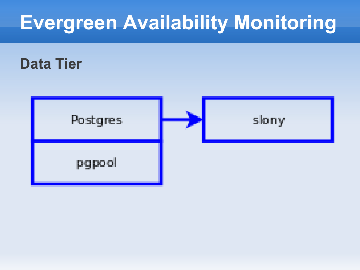#### **Data Tier**

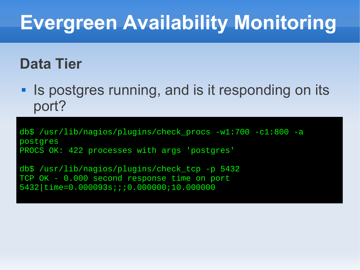#### **Data Tier**

٠ Is postgres running, and is it responding on its port?

db\$ /usr/lib/nagios/plugins/check\_procs -w1:700 -c1:800 -a postgres PROCS OK: 422 processes with args 'postgres'

db\$ /usr/lib/nagios/plugins/check\_tcp -p 5432 TCP OK - 0.000 second response time on port 5432|time=0.000093s;;;0.000000;10.000000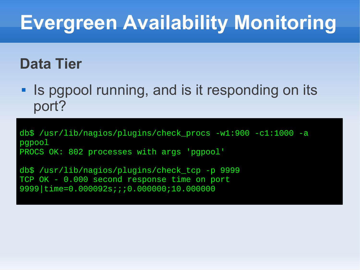#### **Data Tier**

**IF IS pgpool running, and is it responding on its** port?

db\$ /usr/lib/nagios/plugins/check\_procs -w1:900 -c1:1000 -a pgpool PROCS OK: 802 processes with args 'pgpool'

db\$ /usr/lib/nagios/plugins/check\_tcp -p 9999 TCP OK - 0.000 second response time on port 9999|time=0.000092s;;;0.000000;10.000000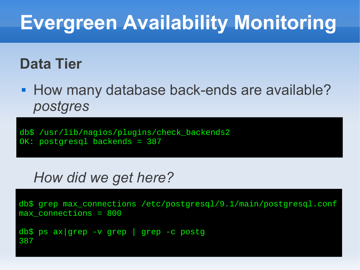#### **Data Tier**

**How many database back-ends are available?** *postgres*

db\$ /usr/lib/nagios/plugins/check\_backends2 OK: postgresql backends = 387

#### *How did we get here?*

```
db$ grep max_connections /etc/postgresql/9.1/main/postgresql.conf
max_connections = 800
```

```
db$ ps ax|grep -v grep | grep -c postg
387
```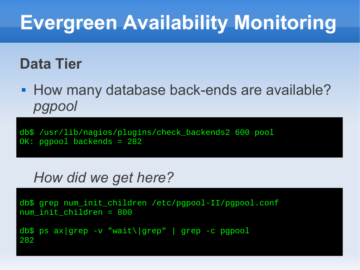#### **Data Tier**

**How many database back-ends are available?** *pgpool*

db\$ /usr/lib/nagios/plugins/check\_backends2 600 pool OK: pgpool backends = 282

#### *How did we get here?*

```
db$ grep num_init_children /etc/pgpool-II/pgpool.conf
num_init_children = 800
db$ ps ax|grep -v "wait\|grep" | grep -c pgpool
282
```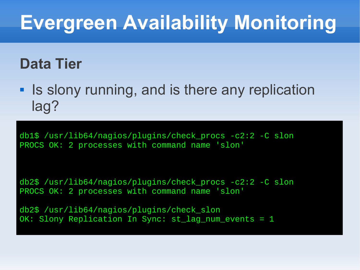#### **Data Tier**

**Iomark 19 Is slony running, and is there any replication** lag?

db1\$ /usr/lib64/nagios/plugins/check\_procs -c2:2 -C slon PROCS OK: 2 processes with command name 'slon'

db2\$ /usr/lib64/nagios/plugins/check\_procs -c2:2 -C slon PROCS OK: 2 processes with command name 'slon'

db2\$ /usr/lib64/nagios/plugins/check\_slon OK: Slony Replication In Sync: st\_lag\_num\_events = 1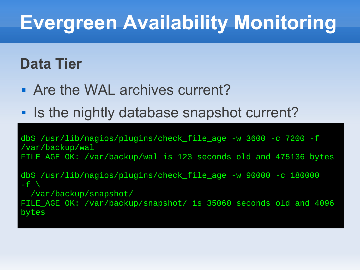#### **Data Tier**

- Are the WAL archives current?
- **Io the nightly database snapshot current?**

db\$ /usr/lib/nagios/plugins/check\_file\_age -w 3600 -c 7200 -f /var/backup/wal FILE\_AGE OK: /var/backup/wal is 123 seconds old and 475136 bytes

db\$ /usr/lib/nagios/plugins/check\_file\_age -w 90000 -c 180000  $-f \ \backslash$ 

/var/backup/snapshot/

FILE\_AGE OK: /var/backup/snapshot/ is 35060 seconds old and 4096 bytes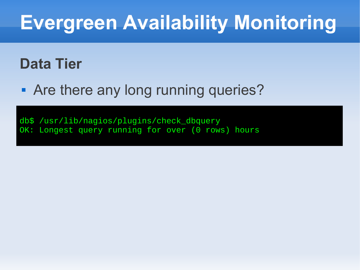#### **Data Tier**

**• Are there any long running queries?** 

db\$ /usr/lib/nagios/plugins/check\_dbquery OK: Longest query running for over (0 rows) hours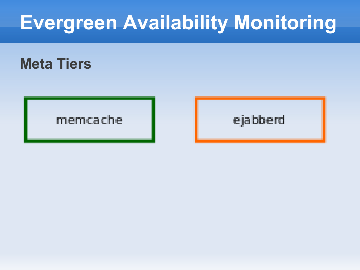#### **Meta Tiers**

#### memcache

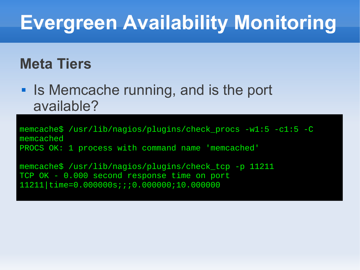#### **Meta Tiers**

**Is Memcache running, and is the port** available?

memcache\$ /usr/lib/nagios/plugins/check\_procs -w1:5 -c1:5 -C memcached PROCS OK: 1 process with command name 'memcached'

memcache\$ /usr/lib/nagios/plugins/check\_tcp -p 11211 TCP OK - 0.000 second response time on port 11211|time=0.000000s;;;0.000000;10.000000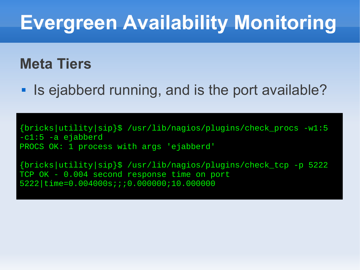#### **Meta Tiers**

**Is ejabberd running, and is the port available?** 

{bricks|utility|sip}\$ /usr/lib/nagios/plugins/check\_procs -w1:5 -c1:5 -a ejabberd PROCS OK: 1 process with args 'ejabberd'

{bricks|utility|sip}\$ /usr/lib/nagios/plugins/check\_tcp -p 5222 TCP OK - 0.004 second response time on port 5222|time=0.004000s;;;0.000000;10.000000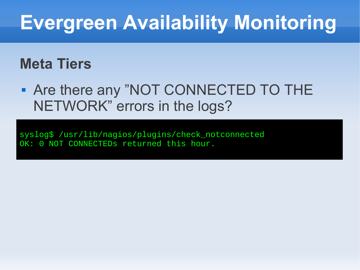#### **Meta Tiers**

 Are there any "NOT CONNECTED TO THE NETWORK" errors in the logs?

syslog\$ /usr/lib/nagios/plugins/check\_notconnected OK: 0 NOT CONNECTEDS returned this hour.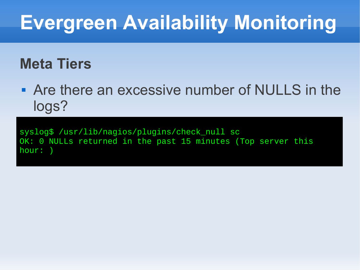#### **Meta Tiers**

 Are there an excessive number of NULLS in the logs?

syslog\$ /usr/lib/nagios/plugins/check\_null sc OK: 0 NULLs returned in the past 15 minutes (Top server this hour: )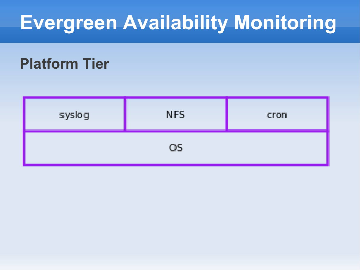#### **Platform Tier**

| syslog | NFS. | cron |
|--------|------|------|
| OS.    |      |      |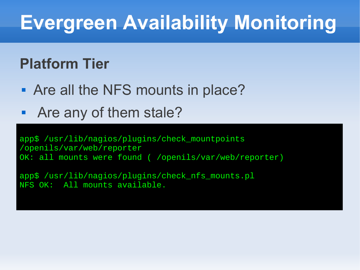#### **Platform Tier**

- Are all the NFS mounts in place?
- Are any of them stale?

app\$ /usr/lib/nagios/plugins/check\_mountpoints /openils/var/web/reporter OK: all mounts were found ( /openils/var/web/reporter)

app\$ /usr/lib/nagios/plugins/check\_nfs\_mounts.pl NFS OK: All mounts available.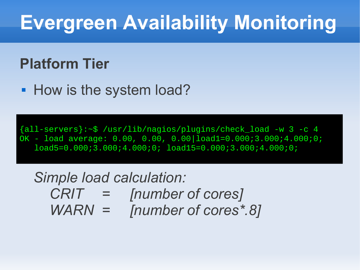#### **Platform Tier**

**How is the system load?** 

{all-servers}:~\$ /usr/lib/nagios/plugins/check\_load -w 3 -c 4 OK - load average: 0.00, 0.00, 0.00|load1=0.000;3.000;4.000;0; load5=0.000;3.000;4.000;0; load15=0.000;3.000;4.000;0;

#### *Simple load calculation: CRIT = [number of cores] WARN = [number of cores\*.8]*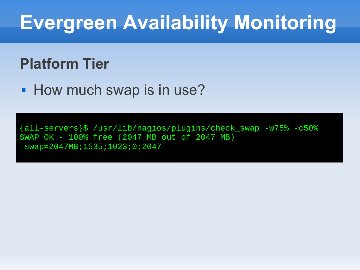#### **Platform Tier**

• How much swap is in use?

{all-servers}\$ /usr/lib/nagios/plugins/check\_swap -w75% -c50% SWAP OK - 100% free (2047 MB out of 2047 MB) |swap=2047MB;1535;1023;0;2047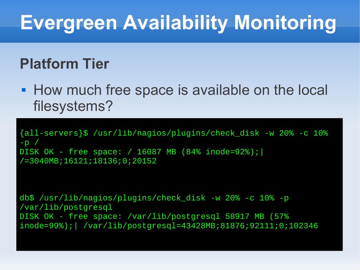#### **Platform Tier**

**How much free space is available on the local** filesystems?

{all-servers}\$ /usr/lib/nagios/plugins/check\_disk -w 20% -c 10%  $-D$  / DISK OK - free space: / 16087 MB (84% inode=92%);| /=3040MB;16121;18136;0;20152

db\$ /usr/lib/nagios/plugins/check\_disk -w 20% -c 10% -p /var/lib/postgresql DISK OK - free space: /var/lib/postgresql 58917 MB (57% inode=99%);| /var/lib/postgresql=43428MB;81876;92111;0;102346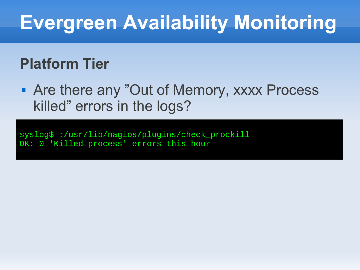#### **Platform Tier**

 Are there any "Out of Memory, xxxx Process killed" errors in the logs?

syslog\$ :/usr/lib/nagios/plugins/check\_prockill OK: 0 'Killed process' errors this hour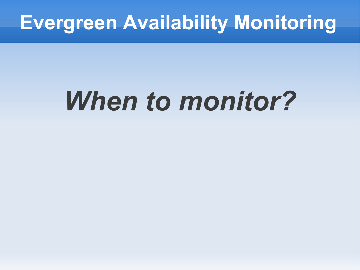# *When to monitor?*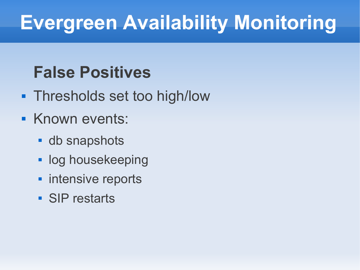#### **False Positives**

- Thresholds set too high/low
- **Known events:** 
	- **db** snapshots
	- **log housekeeping**
	- **nimidative reports**
	- SIP restarts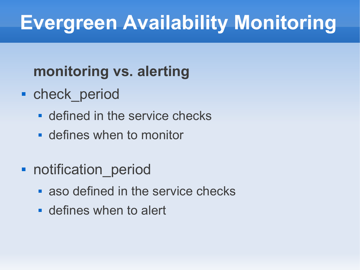#### **monitoring vs. alerting**

- **-** check period
	- defined in the service checks
	- defines when to monitor
- **-** notification period
	- aso defined in the service checks
	- defines when to alert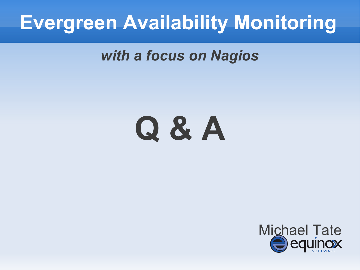*with a focus on Nagios*